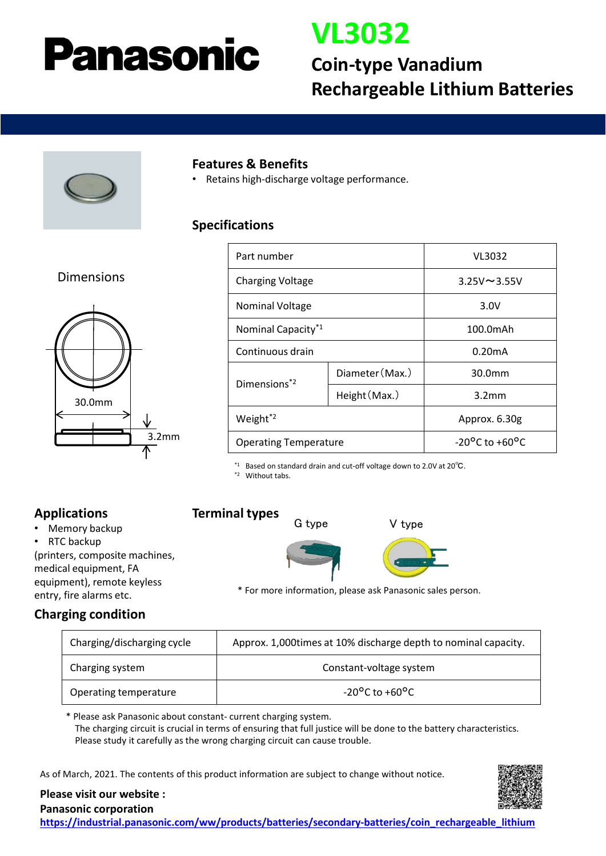# **Panasonic**

# **VL3032**

## **Coin-type Vanadium Rechargeable Lithium Batteries**



#### **Features & Benefits**

• Retains high-discharge voltage performance.

### **Specifications**

### Dimensions



| Part number                    |                 | VL3032                             |
|--------------------------------|-----------------|------------------------------------|
| <b>Charging Voltage</b>        |                 | $3.25V \sim 3.55V$                 |
| <b>Nominal Voltage</b>         |                 | 3.0V                               |
| Nominal Capacity <sup>*1</sup> |                 | 100.0mAh                           |
| Continuous drain               |                 | 0.20 <sub>m</sub> A                |
| Dimensions <sup>*2</sup>       | Diameter (Max.) | 30.0mm                             |
|                                | Height (Max.)   | 3.2 <sub>mm</sub>                  |
| Weight <sup>*2</sup>           |                 | Approx. 6.30g                      |
| <b>Operating Temperature</b>   |                 | $-20^{\circ}$ C to $+60^{\circ}$ C |

\*1 Based on standard drain and cut-off voltage down to 2.0V at 20℃.

\*2 Without tabs.

## **Applications**

- Memory backup
- RTC backup

(printers, composite machines, medical equipment, FA equipment), remote keyless entry, fire alarms etc.

**Terminal types**







\* For more information, please ask Panasonic sales person.

## **Charging condition**

| Charging/discharging cycle | Approx. 1,000 times at 10% discharge depth to nominal capacity. |  |
|----------------------------|-----------------------------------------------------------------|--|
| Charging system            | Constant-voltage system                                         |  |
| Operating temperature      | $-20^{\circ}$ C to $+60^{\circ}$ C                              |  |

\* Please ask Panasonic about constant- current charging system. The charging circuit is crucial in terms of ensuring that full justice will be done to the battery characteristics. Please study it carefully as the wrong charging circuit can cause trouble.

As of March, 2021. The contents of this product information are subject to change without notice.



#### **Please visit our website : Panasonic corporation**

**[https://industrial.panasonic.com/ww/products/batteries/secondary-batteries/coin\\_rechargeable\\_lithium](https://industrial.panasonic.com/ww/products/batteries/secondary-batteries/coin_rechargeable_lithium)**